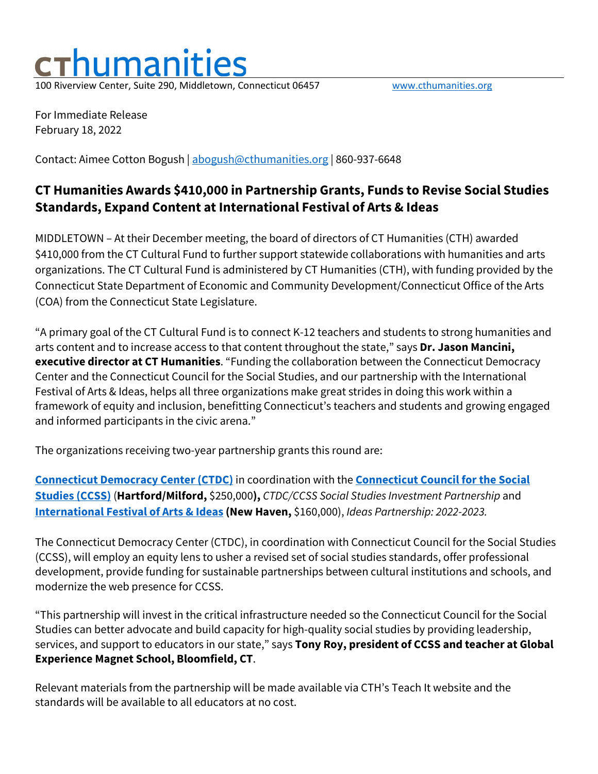## <u>luman</u> 100 Riverview Center, Suite 290, Middletown, Connecticut 06457 [www.cthumanities.org](http://www.cthumanities.org/)

For Immediate Release February 18, 2022

Contact: Aimee Cotton Bogush | [abogush@cthumanities.org](mailto:abogush@cthumanities.org) | 860-937-6648

## **CT Humanities Awards \$410,000 in Partnership Grants, Funds to Revise Social Studies Standards, Expand Content at International Festival of Arts & Ideas**

MIDDLETOWN – At their December meeting, the board of directors of CT Humanities (CTH) awarded \$410,000 from the CT Cultural Fund to further support statewide collaborations with humanities and arts organizations. The CT Cultural Fund is administered by CT Humanities (CTH), with funding provided by the Connecticut State Department of Economic and Community Development/Connecticut Office of the Arts (COA) from the Connecticut State Legislature.

"A primary goal of the CT Cultural Fund is to connect K-12 teachers and students to strong humanities and arts content and to increase access to that content throughout the state," says **Dr. Jason Mancini, executive director at CT Humanities**. "Funding the collaboration between the Connecticut Democracy Center and the Connecticut Council for the Social Studies, and our partnership with the International Festival of Arts & Ideas, helps all three organizations make great strides in doing this work within a framework of equity and inclusion, benefitting Connecticut's teachers and students and growing engaged and informed participants in the civic arena."

The organizations receiving two-year partnership grants this round are:

**[Connecticut Democracy Center](https://ctdemocracycenter.org/about/) (CTDC)** in coordination with the **[Connecticut Council for the Social](https://www.ctsocialstudies.org/)  [Studies \(CCSS\)](https://www.ctsocialstudies.org/)** (**Hartford/Milford,** \$250,000**),** *CTDC/CCSS Social Studies Investment Partnership* and **[International Festival of Arts & Ideas](https://www.artidea.org/) (New Haven,** \$160,000), *Ideas Partnership: 2022-2023.*

The Connecticut Democracy Center (CTDC), in coordination with Connecticut Council for the Social Studies (CCSS), will employ an equity lens to usher a revised set of social studies standards, offer professional development, provide funding for sustainable partnerships between cultural institutions and schools, and modernize the web presence for CCSS.

"This partnership will invest in the critical infrastructure needed so the Connecticut Council for the Social Studies can better advocate and build capacity for high-quality social studies by providing leadership, services, and support to educators in our state," says **Tony Roy, president of CCSS and teacher at Global Experience Magnet School, Bloomfield, CT**.

Relevant materials from the partnership will be made available via CTH's Teach It website and the standards will be available to all educators at no cost.